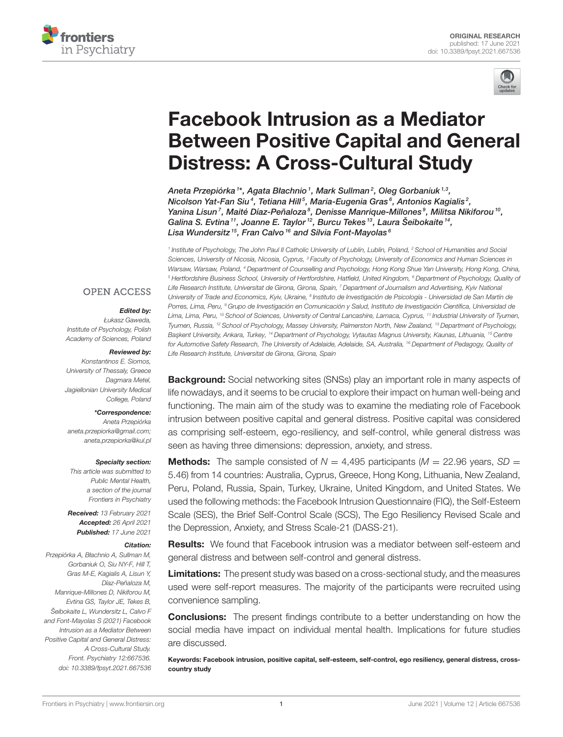



# Facebook Intrusion as a Mediator [Between Positive Capital and General](https://www.frontiersin.org/articles/10.3389/fpsyt.2021.667536/full) Distress: A Cross-Cultural Study

Aneta Przepiórka1\*, Agata Błachnio1, Mark Sullman2, Oleg Gorbaniuk1,3, Nicolson Yat-Fan Siu<sup>4</sup>, Tetiana Hill<sup>5</sup>, Maria-Eugenia Gras<sup>6</sup>, Antonios Kagialis<sup>2</sup>, Yanina Lisun<sup>7</sup>, Maité Díaz-Peñaloza<sup>s</sup>, Denisse Manrique-Millones<sup>9</sup>, Militsa Nikiforou<sup>10</sup>, Galina S. Evtina<sup>11</sup>, Joanne E. Taylor<sup>12</sup>, Burcu Tekes<sup>13</sup>, Laura Šeibokaite<sup>14</sup>, Lisa Wundersitz<sup>15</sup>, Fran Calvo<sup>16</sup> and Sílvia Font-Mayolas<sup>6</sup>

<sup>1</sup> Institute of Psychology, The John Paul II Catholic University of Lublin, Lublin, Poland, <sup>2</sup> School of Humanities and Social Sciences, University of Nicosia, Nicosia, Cyprus, <sup>3</sup> Faculty of Psychology, University of Economics and Human Sciences in Warsaw, Warsaw, Poland, <sup>4</sup> Department of Counselling and Psychology, Hong Kong Shue Yan University, Hong Kong, China, <sup>5</sup> Hertfordshire Business School, University of Hertfordshire, Hatfield, United Kingdom, <sup>6</sup> Department of Psychology, Quality of Life Research Institute, Universitat de Girona, Girona, Spain, 7 Department of Journalism and Advertising, Kyiv National University of Trade and Economics, Kyiv, Ukraine, <sup>8</sup> Instituto de Investigación de Psicología - Universidad de San Martín de Porres, Lima, Peru, <sup>9</sup> Grupo de Investigación en Comunicación y Salud, Instituto de Investigación Científica, Universidad de Lima, Lima, Peru, <sup>10</sup> School of Sciences, University of Central Lancashire, Larnaca, Cyprus, <sup>11</sup> Industrial University of Tyumen, Tyumen, Russia, <sup>12</sup> School of Psychology, Massey University, Palmerston North, New Zealand, <sup>13</sup> Department of Psychology, Başkent University, Ankara, Turkey, <sup>14</sup> Department of Psychology, Vytautas Magnus University, Kaunas, Lithuania, <sup>15</sup> Centre for Automotive Safety Research, The University of Adelaide, Adelaide, SA, Australia, <sup>16</sup> Department of Pedagogy, Quality of Life Research Institute, Universitat de Girona, Girona, Spain

## **OPEN ACCESS**

#### Edited by:

Łukasz Gaweda, Institute of Psychology, Polish Academy of Sciences, Poland

#### Reviewed by:

Konstantinos E. Siomos, University of Thessaly, Greece Dagmara Metel, Jagiellonian University Medical College, Poland

#### \*Correspondence:

Aneta Przepiórka [aneta.przepiorka@gmail.com;](mailto:aneta.przepiorka@gmail.com) [aneta.przepiorka@kul.pl](mailto:aneta.przepiorka@kul.pl)

#### Specialty section:

This article was submitted to Public Mental Health, a section of the journal Frontiers in Psychiatry

Received: 13 February 2021 Accepted: 26 April 2021 Published: 17 June 2021

#### Citation:

Przepiórka A, Błachnio A, Sullman M, Gorbaniuk O, Siu NY-F, Hill T, Gras M-E, Kagialis A, Lisun Y, Díaz-Peñaloza M, Manrique-Millones D, Nikiforou M, Evtina GS, Taylor JE, Tekes B, Šeibokaite L, Wundersitz L, Calvo F and Font-Mayolas S (2021) Facebook Intrusion as a Mediator Between Positive Capital and General Distress: A Cross-Cultural Study. Front. Psychiatry 12:667536. doi: [10.3389/fpsyt.2021.667536](https://doi.org/10.3389/fpsyt.2021.667536)

**Background:** Social networking sites (SNSs) play an important role in many aspects of life nowadays, and it seems to be crucial to explore their impact on human well-being and functioning. The main aim of the study was to examine the mediating role of Facebook intrusion between positive capital and general distress. Positive capital was considered as comprising self-esteem, ego-resiliency, and self-control, while general distress was seen as having three dimensions: depression, anxiety, and stress.

## **Methods:** The sample consisted of  $N = 4.495$  participants ( $M = 22.96$  years, SD = 5.46) from 14 countries: Australia, Cyprus, Greece, Hong Kong, Lithuania, New Zealand, Peru, Poland, Russia, Spain, Turkey, Ukraine, United Kingdom, and United States. We used the following methods: the Facebook Intrusion Questionnaire (FIQ), the Self-Esteem Scale (SES), the Brief Self-Control Scale (SCS), The Ego Resiliency Revised Scale and the Depression, Anxiety, and Stress Scale-21 (DASS-21).

**Results:** We found that Facebook intrusion was a mediator between self-esteem and general distress and between self-control and general distress.

**Limitations:** The present study was based on a cross-sectional study, and the measures used were self-report measures. The majority of the participants were recruited using convenience sampling.

**Conclusions:** The present findings contribute to a better understanding on how the social media have impact on individual mental health. Implications for future studies are discussed.

Keywords: Facebook intrusion, positive capital, self-esteem, self-control, ego resiliency, general distress, crosscountry study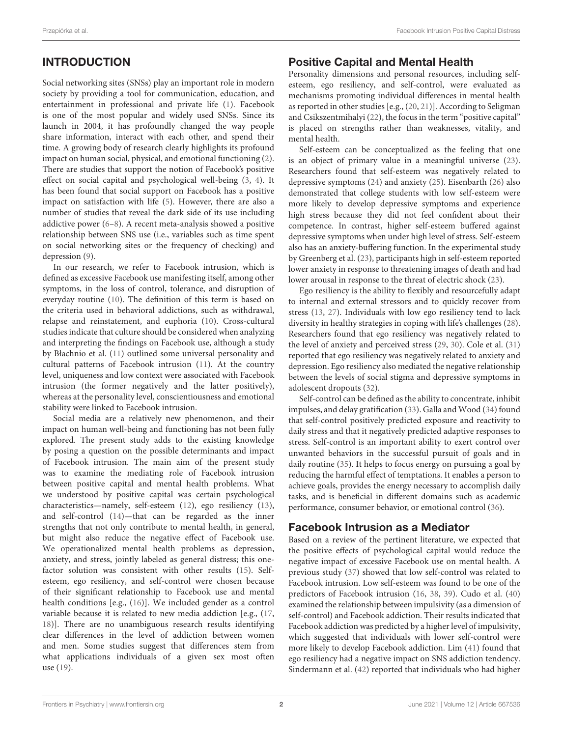# INTRODUCTION

Social networking sites (SNSs) play an important role in modern society by providing a tool for communication, education, and entertainment in professional and private life [\(1\)](#page-5-0). Facebook is one of the most popular and widely used SNSs. Since its launch in 2004, it has profoundly changed the way people share information, interact with each other, and spend their time. A growing body of research clearly highlights its profound impact on human social, physical, and emotional functioning [\(2\)](#page-5-1). There are studies that support the notion of Facebook's positive effect on social capital and psychological well-being [\(3,](#page-5-2) [4\)](#page-5-3). It has been found that social support on Facebook has a positive impact on satisfaction with life [\(5\)](#page-5-4). However, there are also a number of studies that reveal the dark side of its use including addictive power [\(6–](#page-5-5)[8\)](#page-5-6). A recent meta-analysis showed a positive relationship between SNS use (i.e., variables such as time spent on social networking sites or the frequency of checking) and depression [\(9\)](#page-5-7).

In our research, we refer to Facebook intrusion, which is defined as excessive Facebook use manifesting itself, among other symptoms, in the loss of control, tolerance, and disruption of everyday routine [\(10\)](#page-5-8). The definition of this term is based on the criteria used in behavioral addictions, such as withdrawal, relapse and reinstatement, and euphoria [\(10\)](#page-5-8). Cross-cultural studies indicate that culture should be considered when analyzing and interpreting the findings on Facebook use, although a study by Błachnio et al. [\(11\)](#page-5-9) outlined some universal personality and cultural patterns of Facebook intrusion [\(11\)](#page-5-9). At the country level, uniqueness and low context were associated with Facebook intrusion (the former negatively and the latter positively), whereas at the personality level, conscientiousness and emotional stability were linked to Facebook intrusion.

Social media are a relatively new phenomenon, and their impact on human well-being and functioning has not been fully explored. The present study adds to the existing knowledge by posing a question on the possible determinants and impact of Facebook intrusion. The main aim of the present study was to examine the mediating role of Facebook intrusion between positive capital and mental health problems. What we understood by positive capital was certain psychological characteristics—namely, self-esteem [\(12\)](#page-5-10), ego resiliency [\(13\)](#page-5-11), and self-control [\(14\)](#page-5-12)—that can be regarded as the inner strengths that not only contribute to mental health, in general, but might also reduce the negative effect of Facebook use. We operationalized mental health problems as depression, anxiety, and stress, jointly labeled as general distress; this onefactor solution was consistent with other results [\(15\)](#page-5-13). Selfesteem, ego resiliency, and self-control were chosen because of their significant relationship to Facebook use and mental health conditions [e.g., [\(16\)](#page-5-14)]. We included gender as a control variable because it is related to new media addiction [e.g., [\(17,](#page-5-15) [18\)](#page-5-16)]. There are no unambiguous research results identifying clear differences in the level of addiction between women and men. Some studies suggest that differences stem from what applications individuals of a given sex most often use [\(19\)](#page-5-17).

## Positive Capital and Mental Health

Personality dimensions and personal resources, including selfesteem, ego resiliency, and self-control, were evaluated as mechanisms promoting individual differences in mental health as reported in other studies [e.g., [\(20,](#page-5-18) [21\)](#page-5-19)]. According to Seligman and Csikszentmihalyi [\(22\)](#page-6-0), the focus in the term "positive capital" is placed on strengths rather than weaknesses, vitality, and mental health.

Self-esteem can be conceptualized as the feeling that one is an object of primary value in a meaningful universe [\(23\)](#page-6-1). Researchers found that self-esteem was negatively related to depressive symptoms [\(24\)](#page-6-2) and anxiety [\(25\)](#page-6-3). Eisenbarth [\(26\)](#page-6-4) also demonstrated that college students with low self-esteem were more likely to develop depressive symptoms and experience high stress because they did not feel confident about their competence. In contrast, higher self-esteem buffered against depressive symptoms when under high level of stress. Self-esteem also has an anxiety-buffering function. In the experimental study by Greenberg et al. [\(23\)](#page-6-1), participants high in self-esteem reported lower anxiety in response to threatening images of death and had lower arousal in response to the threat of electric shock [\(23\)](#page-6-1).

Ego resiliency is the ability to flexibly and resourcefully adapt to internal and external stressors and to quickly recover from stress [\(13,](#page-5-11) [27\)](#page-6-5). Individuals with low ego resiliency tend to lack diversity in healthy strategies in coping with life's challenges [\(28\)](#page-6-6). Researchers found that ego resiliency was negatively related to the level of anxiety and perceived stress [\(29,](#page-6-7) [30\)](#page-6-8). Cole et al. [\(31\)](#page-6-9) reported that ego resiliency was negatively related to anxiety and depression. Ego resiliency also mediated the negative relationship between the levels of social stigma and depressive symptoms in adolescent dropouts [\(32\)](#page-6-10).

Self-control can be defined as the ability to concentrate, inhibit impulses, and delay gratification [\(33\)](#page-6-11). Galla and Wood [\(34\)](#page-6-12) found that self-control positively predicted exposure and reactivity to daily stress and that it negatively predicted adaptive responses to stress. Self-control is an important ability to exert control over unwanted behaviors in the successful pursuit of goals and in daily routine [\(35\)](#page-6-13). It helps to focus energy on pursuing a goal by reducing the harmful effect of temptations. It enables a person to achieve goals, provides the energy necessary to accomplish daily tasks, and is beneficial in different domains such as academic performance, consumer behavior, or emotional control [\(36\)](#page-6-14).

## Facebook Intrusion as a Mediator

Based on a review of the pertinent literature, we expected that the positive effects of psychological capital would reduce the negative impact of excessive Facebook use on mental health. A previous study [\(37\)](#page-6-15) showed that low self-control was related to Facebook intrusion. Low self-esteem was found to be one of the predictors of Facebook intrusion [\(16,](#page-5-14) [38,](#page-6-16) [39\)](#page-6-17). Cudo et al. [\(40\)](#page-6-18) examined the relationship between impulsivity (as a dimension of self-control) and Facebook addiction. Their results indicated that Facebook addiction was predicted by a higher level of impulsivity, which suggested that individuals with lower self-control were more likely to develop Facebook addiction. Lim [\(41\)](#page-6-19) found that ego resiliency had a negative impact on SNS addiction tendency. Sindermann et al. [\(42\)](#page-6-20) reported that individuals who had higher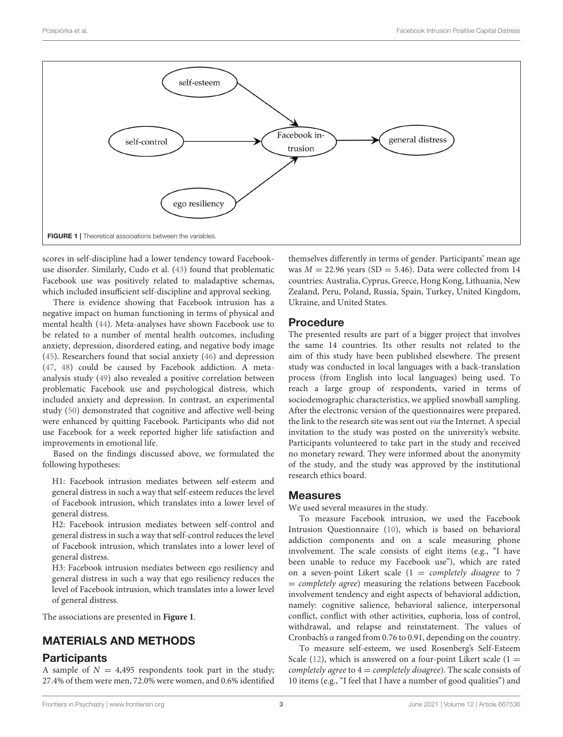

<span id="page-2-0"></span>scores in self-discipline had a lower tendency toward Facebookuse disorder. Similarly, Cudo et al. [\(43\)](#page-6-21) found that problematic Facebook use was positively related to maladaptive schemas, which included insufficient self-discipline and approval seeking.

There is evidence showing that Facebook intrusion has a negative impact on human functioning in terms of physical and mental health [\(44\)](#page-6-22). Meta-analyses have shown Facebook use to be related to a number of mental health outcomes, including anxiety, depression, disordered eating, and negative body image [\(45\)](#page-6-23). Researchers found that social anxiety [\(46\)](#page-6-24) and depression [\(47,](#page-6-25) [48\)](#page-6-26) could be caused by Facebook addiction. A metaanalysis study [\(49\)](#page-6-27) also revealed a positive correlation between problematic Facebook use and psychological distress, which included anxiety and depression. In contrast, an experimental study [\(50\)](#page-6-28) demonstrated that cognitive and affective well-being were enhanced by quitting Facebook. Participants who did not use Facebook for a week reported higher life satisfaction and improvements in emotional life.

Based on the findings discussed above, we formulated the following hypotheses:

H1: Facebook intrusion mediates between self-esteem and general distress in such a way that self-esteem reduces the level of Facebook intrusion, which translates into a lower level of general distress.

H2: Facebook intrusion mediates between self-control and general distress in such a way that self-control reduces the level of Facebook intrusion, which translates into a lower level of general distress.

H3: Facebook intrusion mediates between ego resiliency and general distress in such a way that ego resiliency reduces the level of Facebook intrusion, which translates into a lower level of general distress.

The associations are presented in **[Figure 1](#page-2-0)**.

# MATERIALS AND METHODS

### **Participants**

A sample of  $N = 4,495$  respondents took part in the study; 27.4% of them were men, 72.0% were women, and 0.6% identified themselves differently in terms of gender. Participants' mean age was  $M = 22.96$  years (SD = 5.46). Data were collected from 14 countries: Australia, Cyprus, Greece, Hong Kong, Lithuania, New Zealand, Peru, Poland, Russia, Spain, Turkey, United Kingdom, Ukraine, and United States.

### Procedure

The presented results are part of a bigger project that involves the same 14 countries. Its other results not related to the aim of this study have been published elsewhere. The present study was conducted in local languages with a back-translation process (from English into local languages) being used. To reach a large group of respondents, varied in terms of sociodemographic characteristics, we applied snowball sampling. After the electronic version of the questionnaires were prepared, the link to the research site was sent out via the Internet. A special invitation to the study was posted on the university's website. Participants volunteered to take part in the study and received no monetary reward. They were informed about the anonymity of the study, and the study was approved by the institutional research ethics board.

### Measures

We used several measures in the study.

To measure Facebook intrusion, we used the Facebook Intrusion Questionnaire [\(10\)](#page-5-8), which is based on behavioral addiction components and on a scale measuring phone involvement. The scale consists of eight items (e.g., "I have been unable to reduce my Facebook use"), which are rated on a seven-point Likert scale  $(1 = \textit{completely}$  disagree to 7  $=$  *completely agree*) measuring the relations between Facebook involvement tendency and eight aspects of behavioral addiction, namely: cognitive salience, behavioral salience, interpersonal conflict, conflict with other activities, euphoria, loss of control, withdrawal, and relapse and reinstatement. The values of Cronbach's α ranged from 0.76 to 0.91, depending on the country.

To measure self-esteem, we used Rosenberg's Self-Esteem Scale [\(12\)](#page-5-10), which is answered on a four-point Likert scale (1 = completely agree to  $4 =$  completely disagree). The scale consists of 10 items (e.g., "I feel that I have a number of good qualities") and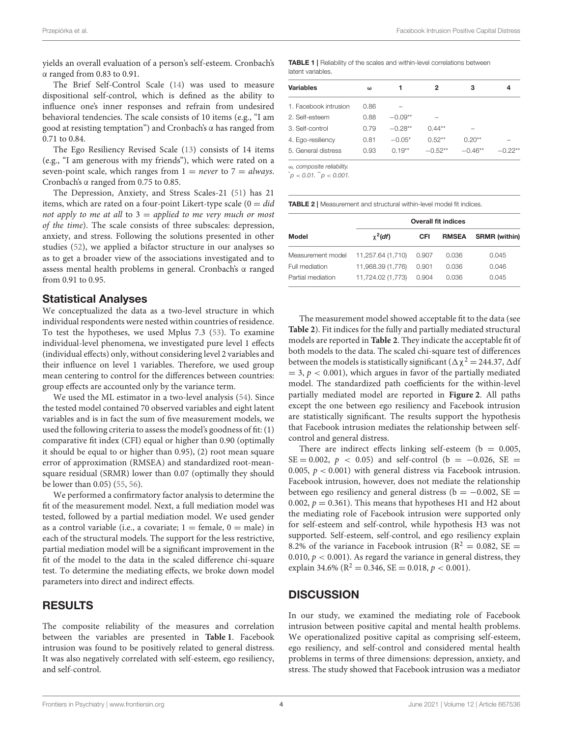yields an overall evaluation of a person's self-esteem. Cronbach's α ranged from 0.83 to 0.91.

The Brief Self-Control Scale [\(14\)](#page-5-12) was used to measure dispositional self-control, which is defined as the ability to influence one's inner responses and refrain from undesired behavioral tendencies. The scale consists of 10 items (e.g., "I am good at resisting temptation") and Cronbach's α has ranged from 0.71 to 0.84.

The Ego Resiliency Revised Scale [\(13\)](#page-5-11) consists of 14 items (e.g., "I am generous with my friends"), which were rated on a seven-point scale, which ranges from  $1 = never$  to  $7 = always$ . Cronbach's α ranged from 0.75 to 0.85.

The Depression, Anxiety, and Stress Scales-21 [\(51\)](#page-6-29) has 21 items, which are rated on a four-point Likert-type scale  $(0 = did)$ not apply to me at all to  $3 =$  applied to me very much or most of the time). The scale consists of three subscales: depression, anxiety, and stress. Following the solutions presented in other studies [\(52\)](#page-6-30), we applied a bifactor structure in our analyses so as to get a broader view of the associations investigated and to assess mental health problems in general. Cronbach's α ranged from 0.91 to 0.95.

#### Statistical Analyses

We conceptualized the data as a two-level structure in which individual respondents were nested within countries of residence. To test the hypotheses, we used Mplus 7.3 [\(53\)](#page-6-31). To examine individual-level phenomena, we investigated pure level 1 effects (individual effects) only, without considering level 2 variables and their influence on level 1 variables. Therefore, we used group mean centering to control for the differences between countries: group effects are accounted only by the variance term.

We used the ML estimator in a two-level analysis [\(54\)](#page-6-32). Since the tested model contained 70 observed variables and eight latent variables and is in fact the sum of five measurement models, we used the following criteria to assess the model's goodness of fit: (1) comparative fit index (CFI) equal or higher than 0.90 (optimally it should be equal to or higher than 0.95), (2) root mean square error of approximation (RMSEA) and standardized root-meansquare residual (SRMR) lower than 0.07 (optimally they should be lower than 0.05) [\(55,](#page-6-33) [56\)](#page-6-34).

We performed a confirmatory factor analysis to determine the fit of the measurement model. Next, a full mediation model was tested, followed by a partial mediation model. We used gender as a control variable (i.e., a covariate;  $1 = \text{female}, 0 = \text{male}$ ) in each of the structural models. The support for the less restrictive, partial mediation model will be a significant improvement in the fit of the model to the data in the scaled difference chi-square test. To determine the mediating effects, we broke down model parameters into direct and indirect effects.

## RESULTS

The composite reliability of the measures and correlation between the variables are presented in **[Table 1](#page-3-0)**. Facebook intrusion was found to be positively related to general distress. It was also negatively correlated with self-esteem, ego resiliency, and self-control.

<span id="page-3-0"></span>TABLE 1 | Reliability of the scales and within-level correlations between latent variables.

| Variables             | ω    | 1         | 2         | з         | 4         |
|-----------------------|------|-----------|-----------|-----------|-----------|
| 1. Facebook intrusion | 0.86 |           |           |           |           |
| 2. Self-esteem        | 0.88 | $-0.09**$ |           |           |           |
| 3. Self-control       | 0.79 | $-0.28**$ | $0.44**$  |           |           |
| 4. Ego-resiliency     | 0.81 | $-0.05*$  | $0.52**$  | $0.20**$  |           |
| 5. General distress   | 0.93 | $0.19**$  | $-0.52**$ | $-0.46**$ | $-0.22**$ |
|                       |      |           |           |           |           |

ω, composite reliability.

 $p < 0.01$ ,  $p < 0.001$ .

<span id="page-3-1"></span>TABLE 2 | Measurement and structural within-level model fit indices.

|                   | <b>Overall fit indices</b> |       |              |                      |  |  |
|-------------------|----------------------------|-------|--------------|----------------------|--|--|
| Model             | $\chi^2$ (df)              | CFI   | <b>RMSEA</b> | <b>SRMR</b> (within) |  |  |
| Measurement model | 11,257.64 (1,710)          | 0.907 | 0.036        | 0.045                |  |  |
| Full mediation    | 11.968.39 (1.776)          | 0.901 | 0.036        | 0.046                |  |  |
| Partial mediation | 11,724.02 (1,773)          | 0.904 | 0.036        | 0.045                |  |  |

The measurement model showed acceptable fit to the data (see **[Table 2](#page-3-1)**). Fit indices for the fully and partially mediated structural models are reported in **[Table 2](#page-3-1)**. They indicate the acceptable fit of both models to the data. The scaled chi-square test of differences between the models is statistically significant ( $\Delta \chi^2 = 244.37$ ,  $\Delta$ df  $= 3, p < 0.001$ , which argues in favor of the partially mediated model. The standardized path coefficients for the within-level partially mediated model are reported in **[Figure 2](#page-4-0)**. All paths except the one between ego resiliency and Facebook intrusion are statistically significant. The results support the hypothesis that Facebook intrusion mediates the relationship between selfcontrol and general distress.

There are indirect effects linking self-esteem ( $b = 0.005$ , SE = 0.002,  $p$  < 0.05) and self-control (b = -0.026, SE = 0.005,  $p < 0.001$ ) with general distress via Facebook intrusion. Facebook intrusion, however, does not mediate the relationship between ego resiliency and general distress ( $b = -0.002$ , SE = 0.002,  $p = 0.361$ ). This means that hypotheses H1 and H2 about the mediating role of Facebook intrusion were supported only for self-esteem and self-control, while hypothesis H3 was not supported. Self-esteem, self-control, and ego resiliency explain 8.2% of the variance in Facebook intrusion ( $R^2 = 0.082$ , SE = 0.010,  $p < 0.001$ ). As regard the variance in general distress, they explain 34.6% ( $\mathbb{R}^2 = 0.346$ , SE = 0.018,  $p < 0.001$ ).

#### **DISCUSSION**

In our study, we examined the mediating role of Facebook intrusion between positive capital and mental health problems. We operationalized positive capital as comprising self-esteem, ego resiliency, and self-control and considered mental health problems in terms of three dimensions: depression, anxiety, and stress. The study showed that Facebook intrusion was a mediator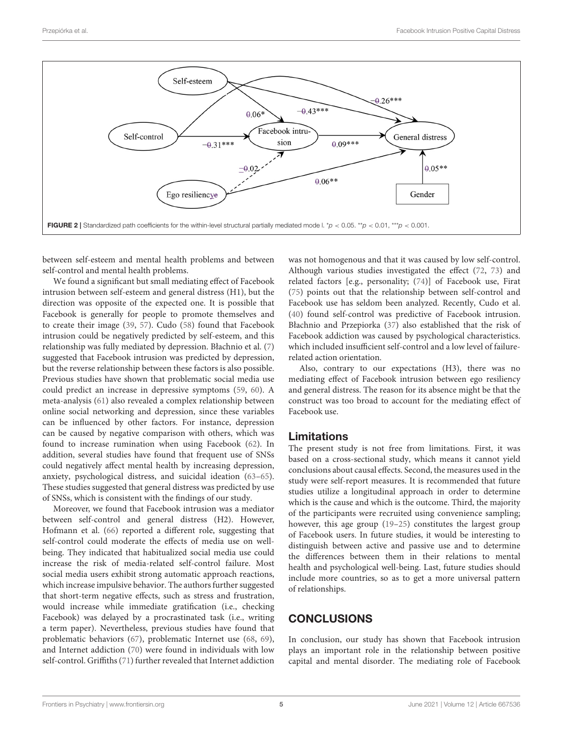

<span id="page-4-0"></span>between self-esteem and mental health problems and between self-control and mental health problems.

We found a significant but small mediating effect of Facebook intrusion between self-esteem and general distress (H1), but the direction was opposite of the expected one. It is possible that Facebook is generally for people to promote themselves and to create their image [\(39,](#page-6-17) [57\)](#page-6-35). Cudo [\(58\)](#page-6-36) found that Facebook intrusion could be negatively predicted by self-esteem, and this relationship was fully mediated by depression. Błachnio et al. [\(7\)](#page-5-20) suggested that Facebook intrusion was predicted by depression, but the reverse relationship between these factors is also possible. Previous studies have shown that problematic social media use could predict an increase in depressive symptoms [\(59,](#page-6-37) [60\)](#page-6-38). A meta-analysis [\(61\)](#page-6-39) also revealed a complex relationship between online social networking and depression, since these variables can be influenced by other factors. For instance, depression can be caused by negative comparison with others, which was found to increase rumination when using Facebook [\(62\)](#page-6-40). In addition, several studies have found that frequent use of SNSs could negatively affect mental health by increasing depression, anxiety, psychological distress, and suicidal ideation [\(63–](#page-7-0)[65\)](#page-7-1). These studies suggested that general distress was predicted by use of SNSs, which is consistent with the findings of our study.

Moreover, we found that Facebook intrusion was a mediator between self-control and general distress (H2). However, Hofmann et al. [\(66\)](#page-7-2) reported a different role, suggesting that self-control could moderate the effects of media use on wellbeing. They indicated that habitualized social media use could increase the risk of media-related self-control failure. Most social media users exhibit strong automatic approach reactions, which increase impulsive behavior. The authors further suggested that short-term negative effects, such as stress and frustration, would increase while immediate gratification (i.e., checking Facebook) was delayed by a procrastinated task (i.e., writing a term paper). Nevertheless, previous studies have found that problematic behaviors [\(67\)](#page-7-3), problematic Internet use [\(68,](#page-7-4) [69\)](#page-7-5), and Internet addiction [\(70\)](#page-7-6) were found in individuals with low self-control. Griffiths [\(71\)](#page-7-7) further revealed that Internet addiction was not homogenous and that it was caused by low self-control. Although various studies investigated the effect [\(72,](#page-7-8) [73\)](#page-7-9) and related factors [e.g., personality; [\(74\)](#page-7-10)] of Facebook use, Firat [\(75\)](#page-7-11) points out that the relationship between self-control and Facebook use has seldom been analyzed. Recently, Cudo et al. [\(40\)](#page-6-18) found self-control was predictive of Facebook intrusion. Błachnio and Przepiorka [\(37\)](#page-6-15) also established that the risk of Facebook addiction was caused by psychological characteristics. which included insufficient self-control and a low level of failurerelated action orientation.

Also, contrary to our expectations (H3), there was no mediating effect of Facebook intrusion between ego resiliency and general distress. The reason for its absence might be that the construct was too broad to account for the mediating effect of Facebook use.

## Limitations

The present study is not free from limitations. First, it was based on a cross-sectional study, which means it cannot yield conclusions about causal effects. Second, the measures used in the study were self-report measures. It is recommended that future studies utilize a longitudinal approach in order to determine which is the cause and which is the outcome. Third, the majority of the participants were recruited using convenience sampling; however, this age group [\(19–](#page-5-17)[25\)](#page-6-3) constitutes the largest group of Facebook users. In future studies, it would be interesting to distinguish between active and passive use and to determine the differences between them in their relations to mental health and psychological well-being. Last, future studies should include more countries, so as to get a more universal pattern of relationships.

# CONCLUSIONS

In conclusion, our study has shown that Facebook intrusion plays an important role in the relationship between positive capital and mental disorder. The mediating role of Facebook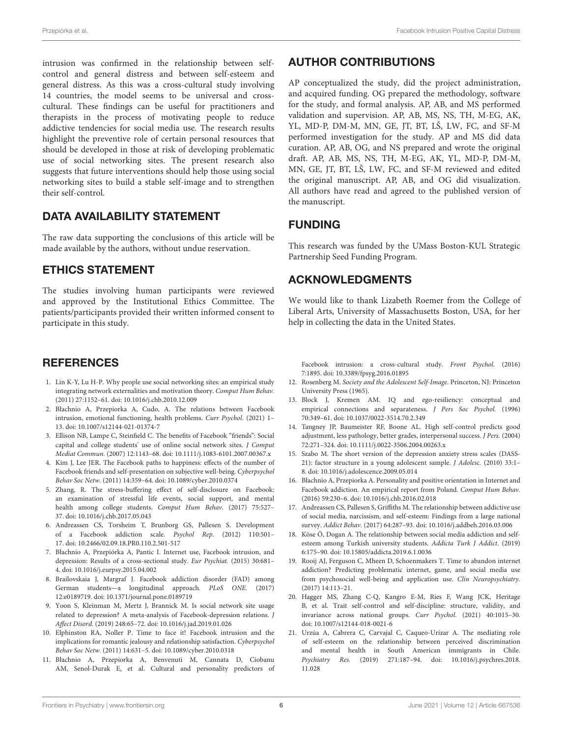intrusion was confirmed in the relationship between selfcontrol and general distress and between self-esteem and general distress. As this was a cross-cultural study involving 14 countries, the model seems to be universal and crosscultural. These findings can be useful for practitioners and therapists in the process of motivating people to reduce addictive tendencies for social media use. The research results highlight the preventive role of certain personal resources that should be developed in those at risk of developing problematic use of social networking sites. The present research also suggests that future interventions should help those using social networking sites to build a stable self-image and to strengthen their self-control.

## DATA AVAILABILITY STATEMENT

The raw data supporting the conclusions of this article will be made available by the authors, without undue reservation.

## ETHICS STATEMENT

The studies involving human participants were reviewed and approved by the Institutional Ethics Committee. The patients/participants provided their written informed consent to participate in this study.

## **REFERENCES**

- <span id="page-5-0"></span>1. Lin K-Y, Lu H-P. Why people use social networking sites: an empirical study integrating network externalities and motivation theory. Comput Hum Behav. (2011) 27:1152–61. doi: [10.1016/j.chb.2010.12.009](https://doi.org/10.1016/j.chb.2010.12.009)
- <span id="page-5-1"></span>2. Błachnio A, Przepiorka A, Cudo, A. The relations between Facebook intrusion, emotional functioning, health problems. Curr Psychol. (2021) 1– 13. doi: [10.1007/s12144-021-01374-7](https://doi.org/10.1007/s12144-021-01374-7)
- <span id="page-5-2"></span>3. Ellison NB, Lampe C, Steinfield C. The benefits of Facebook "friends": Social capital and college students' use of online social network sites. J Comput Mediat Commun. (2007) 12:1143–68. doi: [10.1111/j.1083-6101.2007.00367.x](https://doi.org/10.1111/j.1083-6101.2007.00367.x)
- <span id="page-5-3"></span>4. Kim J, Lee JER. The Facebook paths to happiness: effects of the number of Facebook friends and self-presentation on subjective well-being. Cyberpsychol Behav Soc Netw. (2011) 14:359–64. doi: [10.1089/cyber.2010.0374](https://doi.org/10.1089/cyber.2010.0374)
- <span id="page-5-4"></span>5. Zhang, R. The stress-buffering effect of self-disclosure on Facebook: an examination of stressful life events, social support, and mental health among college students. Comput Hum Behav. (2017) 75:527– 37. doi: [10.1016/j.chb.2017.05.043](https://doi.org/10.1016/j.chb.2017.05.043)
- <span id="page-5-5"></span>6. Andreassen CS, Torsheim T, Brunborg GS, Pallesen S. Development of a Facebook addiction scale. Psychol Rep. (2012) 110:501– 17. doi: [10.2466/02.09.18.PR0.110.2.501-517](https://doi.org/10.2466/02.09.18.PR0.110.2.501-517)
- <span id="page-5-20"></span>7. Błachnio A, Przepiórka A, Pantic I. Internet use, Facebook intrusion, and depression: Results of a cross-sectional study. Eur Psychiat. (2015) 30:681– 4. doi: [10.1016/j.eurpsy.2015.04.002](https://doi.org/10.1016/j.eurpsy.2015.04.002)
- <span id="page-5-6"></span>8. Brailovskaia J, Margraf J. Facebook addiction disorder (FAD) among German students—a longitudinal approach. PLoS ONE. (2017) 12:e0189719. doi: [10.1371/journal.pone.0189719](https://doi.org/10.1371/journal.pone.0189719)
- <span id="page-5-7"></span>9. Yoon S, Kleinman M, Mertz J, Brannick M. Is social network site usage related to depression? A meta-analysis of Facebook-depression relations. J Affect Disord. (2019) 248:65–72. doi: [10.1016/j.jad.2019.01.026](https://doi.org/10.1016/j.jad.2019.01.026)
- <span id="page-5-8"></span>10. Elphinston RA, Noller P. Time to face it! Facebook intrusion and the implications for romantic jealousy and relationship satisfaction. Cyberpsychol Behav Soc Netw. (2011) 14:631–5. doi: [10.1089/cyber.2010.0318](https://doi.org/10.1089/cyber.2010.0318)
- <span id="page-5-9"></span>11. Błachnio A, Przepiorka A, Benvenuti M, Cannata D, Ciobanu AM, Senol-Durak E, et al. Cultural and personality predictors of

# AUTHOR CONTRIBUTIONS

AP conceptualized the study, did the project administration, and acquired funding. OG prepared the methodology, software for the study, and formal analysis. AP, AB, and MS performed validation and supervision. AP, AB, MS, NS, TH, M-EG, AK, YL, MD-P, DM-M, MN, GE, JT, BT, LŠ, LW, FC, and SF-M performed investigation for the study. AP and MS did data curation. AP, AB, OG, and NS prepared and wrote the original draft. AP, AB, MS, NS, TH, M-EG, AK, YL, MD-P, DM-M, MN, GE, JT, BT, LŠ, LW, FC, and SF-M reviewed and edited the original manuscript. AP, AB, and OG did visualization. All authors have read and agreed to the published version of the manuscript.

# FUNDING

This research was funded by the UMass Boston-KUL Strategic Partnership Seed Funding Program.

## ACKNOWLEDGMENTS

We would like to thank Lizabeth Roemer from the College of Liberal Arts, University of Massachusetts Boston, USA, for her help in collecting the data in the United States.

Facebook intrusion: a cross-cultural study. Front Psychol. (2016) 7:1895. doi: [10.3389/fpsyg.2016.01895](https://doi.org/10.3389/fpsyg.2016.01895)

- <span id="page-5-10"></span>12. Rosenberg M. Society and the Adolescent Self-Image. Princeton, NJ: Princeton University Press (1965).
- <span id="page-5-11"></span>13. Block J, Kremen AM. IQ and ego-resiliency: conceptual and empirical connections and separateness. J Pers Soc Psychol. (1996) 70:349–61. doi: [10.1037/0022-3514.70.2.349](https://doi.org/10.1037/0022-3514.70.2.349)
- <span id="page-5-12"></span>14. Tangney JP, Baumeister RF, Boone AL. High self-control predicts good adjustment, less pathology, better grades, interpersonal success. J Pers. (2004) 72:271–324. doi: [10.1111/j.0022-3506.2004.00263.x](https://doi.org/10.1111/j.0022-3506.2004.00263.x)
- <span id="page-5-13"></span>15. Szabo M. The short version of the depression anxiety stress scales (DASS-21): factor structure in a young adolescent sample. J Adolesc. (2010) 33:1– 8. doi: [10.1016/j.adolescence.2009.05.014](https://doi.org/10.1016/j.adolescence.2009.05.014)
- <span id="page-5-14"></span>16. Błachnio A, Przepiorka A. Personality and positive orientation in Internet and Facebook addiction. An empirical report from Poland. Comput Hum Behav. (2016) 59:230–6. doi: [10.1016/j.chb.2016.02.018](https://doi.org/10.1016/j.chb.2016.02.018)
- <span id="page-5-15"></span>17. Andreassen CS, Pallesen S, Griffiths M. The relationship between addictive use of social media, narcissism, and self-esteem: Findings from a large national survey. Addict Behav. (2017) 64:287–93. doi: [10.1016/j.addbeh.2016.03.006](https://doi.org/10.1016/j.addbeh.2016.03.006)
- <span id="page-5-16"></span>18. Köse Ö, Dogan A. The relationship between social media addiction and selfesteem among Turkish university students. Addicta Turk J Addict. (2019) 6:175–90. doi: [10.15805/addicta.2019.6.1.0036](https://doi.org/10.15805/addicta.2019.6.1.0036)
- <span id="page-5-17"></span>19. Rooij AJ, Ferguson C, Mheen D, Schoenmakers T. Time to abandon internet addiction? Predicting problematic internet, game, and social media use from psychosocial well-being and application use. Clin Neuropsychiatry. (2017) 14:113–21.
- <span id="page-5-18"></span>20. Hagger MS, Zhang C-Q, Kangro E-M, Ries F, Wang JCK, Heritage B, et al. Trait self-control and self-discipline: structure, validity, and invariance across national groups. Curr Psychol. (2021) 40:1015–30. doi: [10.1007/s12144-018-0021-6](https://doi.org/10.1007/s12144-018-0021-6)
- <span id="page-5-19"></span>21. Urzúa A, Cabrera C, Carvajal C, Caqueo-Urízar A. The mediating role of self-esteem on the relationship between perceived discrimination and mental health in South American immigrants in Chile. Psychiatry Res. [\(2019\) 271:187–94. doi: 10.1016/j.psychres.2018.](https://doi.org/10.1016/j.psychres.2018.11.028) 11.028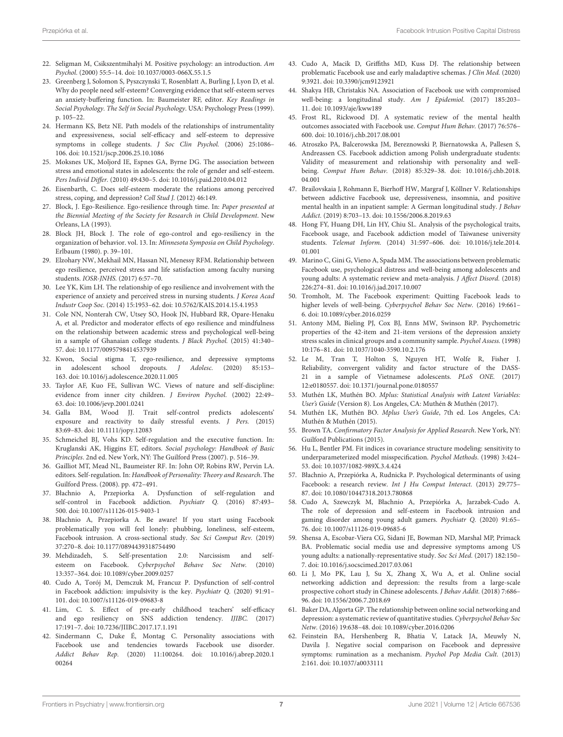- <span id="page-6-0"></span>22. Seligman M, Csikszentmihalyi M. Positive psychology: an introduction. Am Psychol. (2000) 55:5–14. doi: [10.1037/0003-066X.55.1.5](https://doi.org/10.1037/0003-066X.55.1.5)
- <span id="page-6-1"></span>23. Greenberg J, Solomon S, Pyszczynski T, Rosenblatt A, Burling J, Lyon D, et al. Why do people need self-esteem? Converging evidence that self-esteem serves an anxiety-buffering function. In: Baumeister RF, editor. Key Readings in Social Psychology. The Self in Social Psychology. USA: Psychology Press (1999). p. 105–22.
- <span id="page-6-2"></span>24. Hermann KS, Betz NE. Path models of the relationships of instrumentality and expressiveness, social self-efficacy and self-esteem to depressive symptoms in college students. J Soc Clin Psychol. (2006) 25:1086– 106. doi: [10.1521/jscp.2006.25.10.1086](https://doi.org/10.1521/jscp.2006.25.10.1086)
- <span id="page-6-3"></span>25. Moksnes UK, Moljord IE, Espnes GA, Byrne DG. The association between stress and emotional states in adolescents: the role of gender and self-esteem. Pers Individ Differ. (2010) 49:430–5. doi: [10.1016/j.paid.2010.04.012](https://doi.org/10.1016/j.paid.2010.04.012)
- <span id="page-6-4"></span>26. Eisenbarth, C. Does self-esteem moderate the relations among perceived stress, coping, and depression? Coll Stud J. (2012) 46:149.
- <span id="page-6-5"></span>27. Block, J. Ego-Resilience. Ego-resilience through time. In: Paper presented at the Biennial Meeting of the Society for Research in Child Development. New Orleans, LA (1993).
- <span id="page-6-6"></span>28. Block JH, Block J. The role of ego-control and ego-resiliency in the organization of behavior. vol. 13. In: Minnesota Symposia on Child Psychology. Erlbaum (1980). p. 39–101.
- <span id="page-6-7"></span>29. Elzohary NW, Mekhail MN, Hassan NI, Menessy RFM. Relationship between ego resilience, perceived stress and life satisfaction among faculty nursing students. IOSR-JNHS. (2017) 6:57–70.
- <span id="page-6-8"></span>30. Lee YK, Kim LH. The relationship of ego resilience and involvement with the experience of anxiety and perceived stress in nursing students. J Korea Acad Industr Coop Soc. (2014) 15:1953–62. doi: [10.5762/KAIS.2014.15.4.1953](https://doi.org/10.5762/KAIS.2014.15.4.1953)
- <span id="page-6-9"></span>31. Cole NN, Nonterah CW, Utsey SO, Hook JN, Hubbard RR, Opare-Henaku A, et al. Predictor and moderator effects of ego resilience and mindfulness on the relationship between academic stress and psychological well-being in a sample of Ghanaian college students. J Black Psychol. (2015) 41:340– 57. doi: [10.1177/0095798414537939](https://doi.org/10.1177/0095798414537939)
- <span id="page-6-10"></span>32. Kwon, Social stigma T, ego-resilience, and depressive symptoms in adolescent school dropouts. J Adolesc. (2020) 85:153– 163. doi: [10.1016/j.adolescence.2020.11.005](https://doi.org/10.1016/j.adolescence.2020.11.005)
- <span id="page-6-11"></span>33. Taylor AF, Kuo FE, Sullivan WC. Views of nature and self-discipline: evidence from inner city children. J Environ Psychol. (2002) 22:49– 63. doi: [10.1006/jevp.2001.0241](https://doi.org/10.1006/jevp.2001.0241)
- <span id="page-6-12"></span>34. Galla BM, Wood JJ. Trait self-control predicts adolescents' exposure and reactivity to daily stressful events. J Pers. (2015) 83:69–83. doi: [10.1111/jopy.12083](https://doi.org/10.1111/jopy.12083)
- <span id="page-6-13"></span>35. Schmeichel BJ, Vohs KD. Self-regulation and the executive function. In: Kruglanski AK, Higgins ET, editors. Social psychology: Handbook of Basic Principles. 2nd ed. New York, NY: The Guilford Press (2007). p. 516–39.
- <span id="page-6-14"></span>36. Gailliot MT, Mead NL, Baumeister RF. In: John OP, Robins RW, Pervin LA. editors. Self-regulation. In: Handbook of Personality: Theory and Research. The Guilford Press. (2008). pp. 472–491.
- <span id="page-6-15"></span>37. Błachnio A, Przepiorka A. Dysfunction of self-regulation and self-control in Facebook addiction. Psychiatr Q. (2016) 87:493– 500. doi: [10.1007/s11126-015-9403-1](https://doi.org/10.1007/s11126-015-9403-1)
- <span id="page-6-16"></span>38. Błachnio A, Przepiorka A. Be aware! If you start using Facebook problematically you will feel lonely: phubbing, loneliness, self-esteem, Facebook intrusion. A cross-sectional study. Soc Sci Comput Rev. (2019) 37:270–8. doi: [10.1177/0894439318754490](https://doi.org/10.1177/0894439318754490)
- <span id="page-6-17"></span>39. Mehdizadeh, S. Self-presentation 2.0: Narcissism and selfesteem on Facebook. Cyberpsychol Behave Soc Netw. (2010) 13:357–364. doi: [10.1089/cyber.2009.0257](https://doi.org/10.1089/cyber.2009.0257)
- <span id="page-6-18"></span>40. Cudo A, Torój M, Demczuk M, Francuz P. Dysfunction of self-control in Facebook addiction: impulsivity is the key. Psychiatr Q. (2020) 91:91– 101. doi: [10.1007/s11126-019-09683-8](https://doi.org/10.1007/s11126-019-09683-8)
- <span id="page-6-19"></span>41. Lim, C. S. Effect of pre-early childhood teachers' self-efficacy and ego resiliency on SNS addiction tendency. IJIBC. (2017) 17:191–7. doi: [10.7236/JIIBC.2017.17.1.191](https://doi.org/10.7236/JIIBC.2017.17.1.191)
- <span id="page-6-20"></span>42. Sindermann C, Duke É, Montag C. Personality associations with Facebook use and tendencies towards Facebook use disorder. Addict Behav Rep. [\(2020\) 11:100264. doi: 10.1016/j.abrep.2020.1](https://doi.org/10.1016/j.abrep.2020.100264) 00264
- <span id="page-6-21"></span>43. Cudo A, Macik D, Griffiths MD, Kuss DJ. The relationship between problematic Facebook use and early maladaptive schemas. J Clin Med. (2020) 9:3921. doi: [10.3390/jcm9123921](https://doi.org/10.3390/jcm9123921)
- <span id="page-6-22"></span>44. Shakya HB, Christakis NA. Association of Facebook use with compromised well-being: a longitudinal study. Am J Epidemiol. (2017) 185:203– 11. doi: [10.1093/aje/kww189](https://doi.org/10.1093/aje/kww189)
- <span id="page-6-23"></span>45. Frost RL, Rickwood DJ. A systematic review of the mental health outcomes associated with Facebook use. Comput Hum Behav. (2017) 76:576– 600. doi: [10.1016/j.chb.2017.08.001](https://doi.org/10.1016/j.chb.2017.08.001)
- <span id="page-6-24"></span>46. Atroszko PA, Balcerowska JM, Bereznowski P, Biernatowska A, Pallesen S, Andreassen CS. Facebook addiction among Polish undergraduate students: Validity of measurement and relationship with personality and wellbeing. Comput Hum Behav. [\(2018\) 85:329–38. doi: 10.1016/j.chb.2018.](https://doi.org/10.1016/j.chb.2018.04.001) 04.001
- <span id="page-6-25"></span>47. Brailovskaia J, Rohmann E, Bierhoff HW, Margraf J, Köllner V. Relationships between addictive Facebook use, depressiveness, insomnia, and positive mental health in an inpatient sample: A German longitudinal study. J Behav Addict. (2019) 8:703–13. doi: [10.1556/2006.8.2019.63](https://doi.org/10.1556/2006.8.2019.63)
- <span id="page-6-26"></span>48. Hong FY, Huang DH, Lin HY, Chiu SL. Analysis of the psychological traits, Facebook usage, and Facebook addiction model of Taiwanese university students. Telemat Inform. [\(2014\) 31:597–606. doi: 10.1016/j.tele.2014.](https://doi.org/10.1016/j.tele.2014.01.001) 01.001
- <span id="page-6-27"></span>49. Marino C, Gini G, Vieno A, Spada MM. The associations between problematic Facebook use, psychological distress and well-being among adolescents and young adults: A systematic review and meta-analysis. J Affect Disord. (2018) 226:274–81. doi: [10.1016/j.jad.2017.10.007](https://doi.org/10.1016/j.jad.2017.10.007)
- <span id="page-6-28"></span>50. Tromholt, M. The Facebook experiment: Quitting Facebook leads to higher levels of well-being. Cyberpsychol Behav Soc Netw. (2016) 19:661– 6. doi: [10.1089/cyber.2016.0259](https://doi.org/10.1089/cyber.2016.0259)
- <span id="page-6-29"></span>51. Antony MM, Bieling PJ, Cox BJ, Enns MW, Swinson RP. Psychometric properties of the 42-item and 21-item versions of the depression anxiety stress scales in clinical groups and a community sample. Psychol Assess. (1998) 10:176–81. doi: [10.1037/1040-3590.10.2.176](https://doi.org/10.1037/1040-3590.10.2.176)
- <span id="page-6-30"></span>52. Le M, Tran T, Holton S, Nguyen HT, Wolfe R, Fisher J. Reliability, convergent validity and factor structure of the DASS-21 in a sample of Vietnamese adolescents. PLoS ONE. (2017) 12:e0180557. doi: [10.1371/journal.pone.0180557](https://doi.org/10.1371/journal.pone.0180557)
- <span id="page-6-31"></span>53. Muthén LK, Muthén BO. Mplus: Statistical Analysis with Latent Variables: User's Guide (Version 8). Los Angeles, CA: Muthén & Muthén (2017).
- <span id="page-6-32"></span>54. Muthén LK, Muthén BO. Mplus User's Guide, 7th ed. Los Angeles, CA: Muthén & Muthén (2015).
- <span id="page-6-33"></span>55. Brown TA. Confirmatory Factor Analysis for Applied Research. New York, NY: Guilford Publications (2015).
- <span id="page-6-34"></span>56. Hu L, Bentler PM. Fit indices in covariance structure modeling: sensitivity to underparameterized model misspecification. Psychol Methods. (1998) 3:424– 53. doi: [10.1037/1082-989X.3.4.424](https://doi.org/10.1037/1082-989X.3.4.424)
- <span id="page-6-35"></span>57. Błachnio A, Przepiórka A, Rudnicka P. Psychological determinants of using Facebook: a research review. Int J Hu Comput Interact. (2013) 29:775– 87. doi: [10.1080/10447318.2013.780868](https://doi.org/10.1080/10447318.2013.780868)
- <span id="page-6-36"></span>58. Cudo A, Szewczyk M, Błachnio A, Przepiórka A, Jarzabek-Cudo A. The role of depression and self-esteem in Facebook intrusion and gaming disorder among young adult gamers. Psychiatr Q. (2020) 91:65– 76. doi: [10.1007/s11126-019-09685-6](https://doi.org/10.1007/s11126-019-09685-6)
- <span id="page-6-37"></span>59. Shensa A, Escobar-Viera CG, Sidani JE, Bowman ND, Marshal MP, Primack BA. Problematic social media use and depressive symptoms among US young adults: a nationally-representative study. Soc Sci Med. (2017) 182:150– 7. doi: [10.1016/j.socscimed.2017.03.061](https://doi.org/10.1016/j.socscimed.2017.03.061)
- <span id="page-6-38"></span>60. Li J, Mo PK, Lau J, Su X, Zhang X, Wu A, et al. Online social networking addiction and depression: the results from a large-scale prospective cohort study in Chinese adolescents. J Behav Addit. (2018) 7:686– 96. doi: [10.1556/2006.7.2018.69](https://doi.org/10.1556/2006.7.2018.69)
- <span id="page-6-39"></span>61. Baker DA, Algorta GP. The relationship between online social networking and depression: a systematic review of quantitative studies. Cyberpsychol Behav Soc Netw. (2016) 19:638–48. doi: [10.1089/cyber.2016.0206](https://doi.org/10.1089/cyber.2016.0206)
- <span id="page-6-40"></span>62. Feinstein BA, Hershenberg R, Bhatia V, Latack JA, Meuwly N, Davila J. Negative social comparison on Facebook and depressive symptoms: rumination as a mechanism. Psychol Pop Media Cult. (2013) 2:161. doi: [10.1037/a0033111](https://doi.org/10.1037/a0033111)